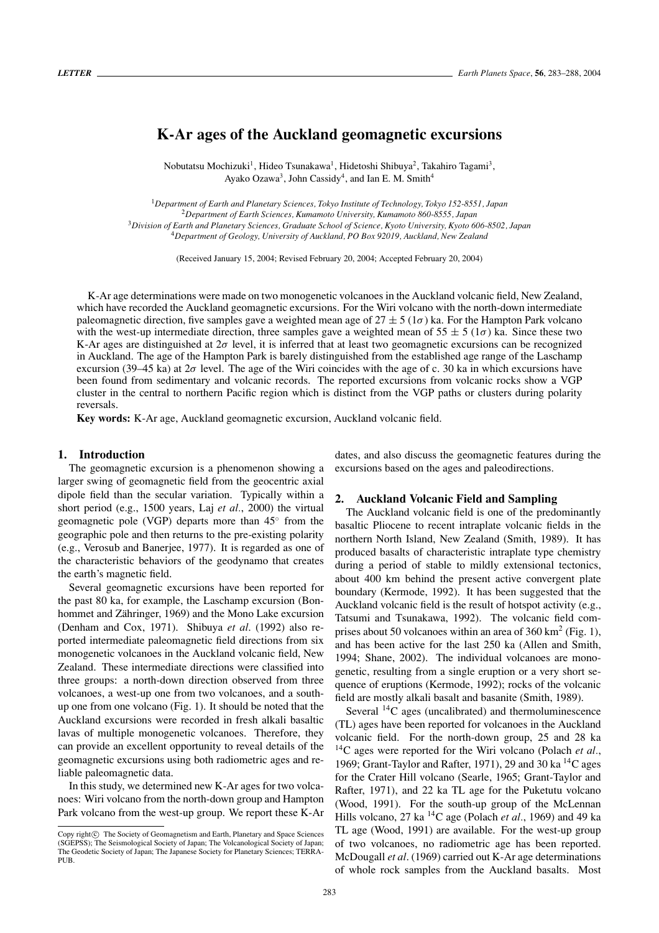# **K-Ar ages of the Auckland geomagnetic excursions**

Nobutatsu Mochizuki<sup>1</sup>, Hideo Tsunakawa<sup>1</sup>, Hidetoshi Shibuya<sup>2</sup>, Takahiro Tagami<sup>3</sup>, Ayako Ozawa<sup>3</sup>, John Cassidy<sup>4</sup>, and Ian E. M. Smith<sup>4</sup>

*Department of Earth and Planetary Sciences, Tokyo Institute of Technology, Tokyo 152-8551, Japan Department of Earth Sciences, Kumamoto University, Kumamoto 860-8555, Japan Division of Earth and Planetary Sciences, Graduate School of Science, Kyoto University, Kyoto 606-8502, Japan Department of Geology, University of Auckland, PO Box 92019, Auckland, New Zealand*

(Received January 15, 2004; Revised February 20, 2004; Accepted February 20, 2004)

K-Ar age determinations were made on two monogenetic volcanoes in the Auckland volcanic field, New Zealand, which have recorded the Auckland geomagnetic excursions. For the Wiri volcano with the north-down intermediate paleomagnetic direction, five samples gave a weighted mean age of  $27 \pm 5$  (1 $\sigma$ ) ka. For the Hampton Park volcano with the west-up intermediate direction, three samples gave a weighted mean of  $55 \pm 5$  ( $1\sigma$ ) ka. Since these two K-Ar ages are distinguished at 2σ level, it is inferred that at least two geomagnetic excursions can be recognized in Auckland. The age of the Hampton Park is barely distinguished from the established age range of the Laschamp excursion (39–45 ka) at  $2\sigma$  level. The age of the Wiri coincides with the age of c. 30 ka in which excursions have been found from sedimentary and volcanic records. The reported excursions from volcanic rocks show a VGP cluster in the central to northern Pacific region which is distinct from the VGP paths or clusters during polarity reversals.

**Key words:** K-Ar age, Auckland geomagnetic excursion, Auckland volcanic field.

# **1. Introduction**

The geomagnetic excursion is a phenomenon showing a larger swing of geomagnetic field from the geocentric axial dipole field than the secular variation. Typically within a short period (e.g., 1500 years, Laj *et al.*, 2000) the virtual geomagnetic pole (VGP) departs more than 45◦ from the geographic pole and then returns to the pre-existing polarity (e.g., Verosub and Banerjee, 1977). It is regarded as one of the characteristic behaviors of the geodynamo that creates the earth's magnetic field.

Several geomagnetic excursions have been reported for the past 80 ka, for example, the Laschamp excursion (Bonhommet and Zähringer, 1969) and the Mono Lake excursion (Denham and Cox, 1971). Shibuya *et al*. (1992) also reported intermediate paleomagnetic field directions from six monogenetic volcanoes in the Auckland volcanic field, New Zealand. These intermediate directions were classified into three groups: a north-down direction observed from three volcanoes, a west-up one from two volcanoes, and a southup one from one volcano (Fig. 1). It should be noted that the Auckland excursions were recorded in fresh alkali basaltic lavas of multiple monogenetic volcanoes. Therefore, they can provide an excellent opportunity to reveal details of the geomagnetic excursions using both radiometric ages and reliable paleomagnetic data.

In this study, we determined new K-Ar ages for two volcanoes: Wiri volcano from the north-down group and Hampton Park volcano from the west-up group. We report these K-Ar dates, and also discuss the geomagnetic features during the excursions based on the ages and paleodirections.

#### **2. Auckland Volcanic Field and Sampling**

The Auckland volcanic field is one of the predominantly basaltic Pliocene to recent intraplate volcanic fields in the northern North Island, New Zealand (Smith, 1989). It has produced basalts of characteristic intraplate type chemistry during a period of stable to mildly extensional tectonics, about 400 km behind the present active convergent plate boundary (Kermode, 1992). It has been suggested that the Auckland volcanic field is the result of hotspot activity (e.g., Tatsumi and Tsunakawa, 1992). The volcanic field comprises about 50 volcanoes within an area of 360 km<sup>2</sup> (Fig. 1), and has been active for the last 250 ka (Allen and Smith, 1994; Shane, 2002). The individual volcanoes are monogenetic, resulting from a single eruption or a very short sequence of eruptions (Kermode, 1992); rocks of the volcanic field are mostly alkali basalt and basanite (Smith, 1989).

Several 14C ages (uncalibrated) and thermoluminescence (TL) ages have been reported for volcanoes in the Auckland volcanic field. For the north-down group, 25 and 28 ka 14C ages were reported for the Wiri volcano (Polach *et al.*, 1969; Grant-Taylor and Rafter, 1971), 29 and 30 ka  $^{14}$ C ages for the Crater Hill volcano (Searle, 1965; Grant-Taylor and Rafter, 1971), and 22 ka TL age for the Puketutu volcano (Wood, 1991). For the south-up group of the McLennan Hills volcano, 27 ka 14C age (Polach *et al.*, 1969) and 49 ka TL age (Wood, 1991) are available. For the west-up group of two volcanoes, no radiometric age has been reported. McDougall *et al*. (1969) carried out K-Ar age determinations of whole rock samples from the Auckland basalts. Most

Copy right $\odot$  The Society of Geomagnetism and Earth, Planetary and Space Sciences (SGEPSS); The Seismological Society of Japan; The Volcanological Society of Japan; The Geodetic Society of Japan; The Japanese Society for Planetary Sciences; TERRA-PUB.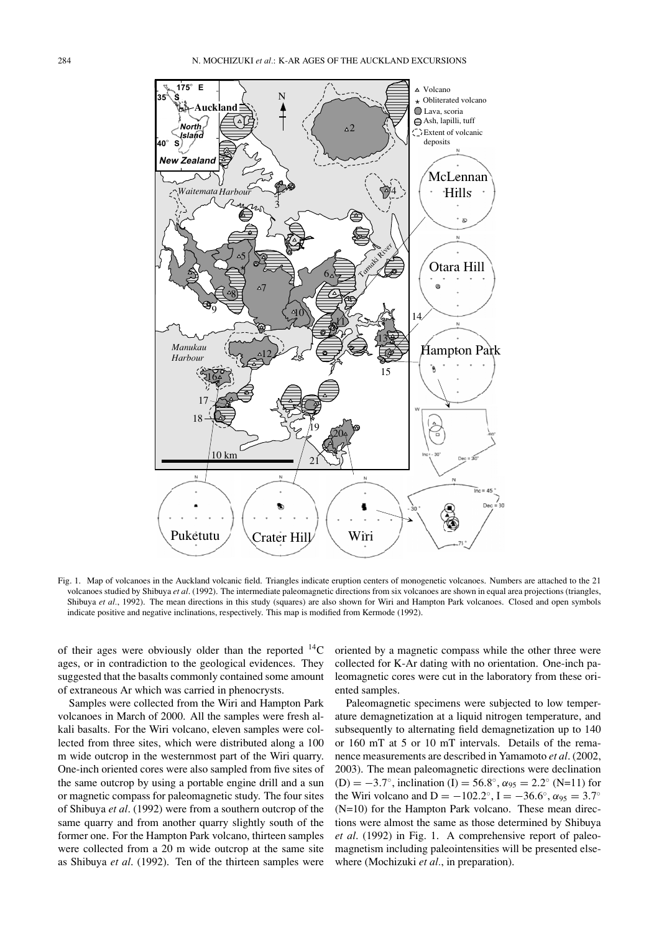

Fig. 1. Map of volcanoes in the Auckland volcanic field. Triangles indicate eruption centers of monogenetic volcanoes. Numbers are attached to the 21 volcanoes studied by Shibuya *et al*. (1992). The intermediate paleomagnetic directions from six volcanoes are shown in equal area projections (triangles, Shibuya et al., 1992). The mean directions in this study (squares) are also shown for Wiri and Hampton Park volcanoes. Closed and open symbols indicate positive and negative inclinations, respectively. This map is modified from Kermode (1992).

of their ages were obviously older than the reported  $^{14}$ C ages, or in contradiction to the geological evidences. They suggested that the basalts commonly contained some amount of extraneous Ar which was carried in phenocrysts.

Samples were collected from the Wiri and Hampton Park volcanoes in March of 2000. All the samples were fresh alkali basalts. For the Wiri volcano, eleven samples were collected from three sites, which were distributed along a 100 m wide outcrop in the westernmost part of the Wiri quarry. One-inch oriented cores were also sampled from five sites of the same outcrop by using a portable engine drill and a sun or magnetic compass for paleomagnetic study. The four sites of Shibuya *et al*. (1992) were from a southern outcrop of the same quarry and from another quarry slightly south of the former one. For the Hampton Park volcano, thirteen samples were collected from a 20 m wide outcrop at the same site as Shibuya *et al*. (1992). Ten of the thirteen samples were

oriented by a magnetic compass while the other three were collected for K-Ar dating with no orientation. One-inch paleomagnetic cores were cut in the laboratory from these oriented samples.

Paleomagnetic specimens were subjected to low temperature demagnetization at a liquid nitrogen temperature, and subsequently to alternating field demagnetization up to 140 or 160 mT at 5 or 10 mT intervals. Details of the remanence measurements are described in Yamamoto *et al*. (2002, 2003). The mean paleomagnetic directions were declination (D) =  $-3.7^\circ$ , inclination (I) = 56.8°,  $\alpha_{95} = 2.2^\circ$  (N=11) for the Wiri volcano and D =  $-102.2^\circ$ , I =  $-36.6^\circ$ ,  $\alpha_{95} = 3.7^\circ$ (N=10) for the Hampton Park volcano. These mean directions were almost the same as those determined by Shibuya *et al*. (1992) in Fig. 1. A comprehensive report of paleomagnetism including paleointensities will be presented elsewhere (Mochizuki *et al.*, in preparation).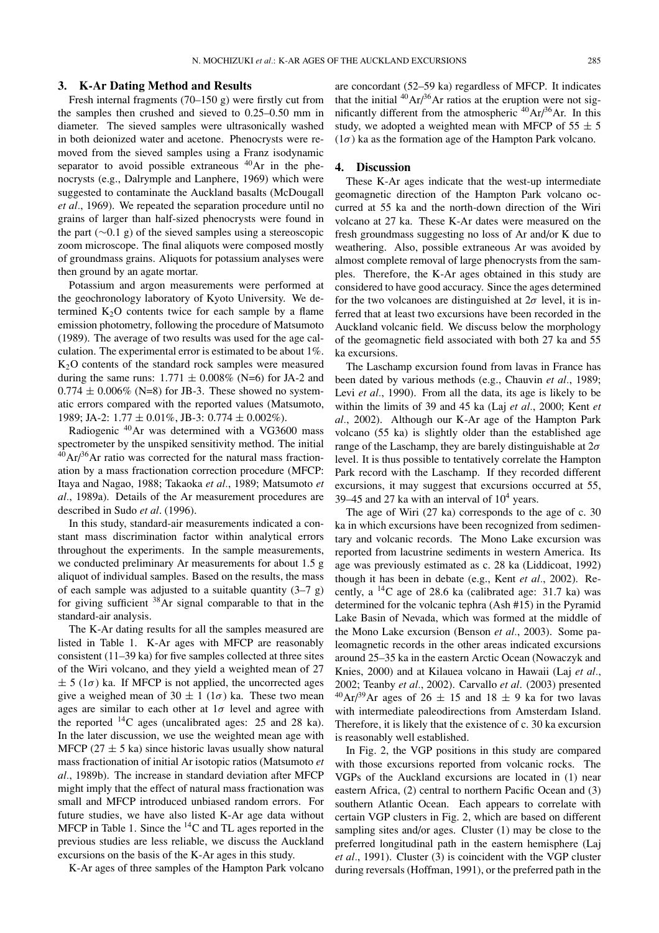## **3. K-Ar Dating Method and Results**

Fresh internal fragments (70–150 g) were firstly cut from the samples then crushed and sieved to 0.25–0.50 mm in diameter. The sieved samples were ultrasonically washed in both deionized water and acetone. Phenocrysts were removed from the sieved samples using a Franz isodynamic separator to avoid possible extraneous <sup>40</sup>Ar in the phenocrysts (e.g., Dalrymple and Lanphere, 1969) which were suggested to contaminate the Auckland basalts (McDougall *et al.*, 1969). We repeated the separation procedure until no grains of larger than half-sized phenocrysts were found in the part (∼0.1 g) of the sieved samples using a stereoscopic zoom microscope. The final aliquots were composed mostly of groundmass grains. Aliquots for potassium analyses were then ground by an agate mortar.

Potassium and argon measurements were performed at the geochronology laboratory of Kyoto University. We determined  $K<sub>2</sub>O$  contents twice for each sample by a flame emission photometry, following the procedure of Matsumoto (1989). The average of two results was used for the age calculation. The experimental error is estimated to be about 1%. K2O contents of the standard rock samples were measured during the same runs:  $1.771 \pm 0.008\%$  (N=6) for JA-2 and  $0.774 \pm 0.006\%$  (N=8) for JB-3. These showed no systematic errors compared with the reported values (Matsumoto, 1989; JA-2:  $1.77 \pm 0.01\%$ , JB-3:  $0.774 \pm 0.002\%$ ).

Radiogenic 40Ar was determined with a VG3600 mass spectrometer by the unspiked sensitivity method. The initial  $^{40}$ Ar/<sup>36</sup>Ar ratio was corrected for the natural mass fractionation by a mass fractionation correction procedure (MFCP: Itaya and Nagao, 1988; Takaoka *et al.*, 1989; Matsumoto *et al.*, 1989a). Details of the Ar measurement procedures are described in Sudo *et al*. (1996).

In this study, standard-air measurements indicated a constant mass discrimination factor within analytical errors throughout the experiments. In the sample measurements, we conducted preliminary Ar measurements for about 1.5 g aliquot of individual samples. Based on the results, the mass of each sample was adjusted to a suitable quantity  $(3-7 \text{ g})$ for giving sufficient 38Ar signal comparable to that in the standard-air analysis.

The K-Ar dating results for all the samples measured are listed in Table 1. K-Ar ages with MFCP are reasonably consistent (11–39 ka) for five samples collected at three sites of the Wiri volcano, and they yield a weighted mean of 27  $\pm$  5 (1 $\sigma$ ) ka. If MFCP is not applied, the uncorrected ages give a weighed mean of  $30 \pm 1$  ( $1\sigma$ ) ka. These two mean ages are similar to each other at  $1\sigma$  level and agree with the reported 14C ages (uncalibrated ages: 25 and 28 ka). In the later discussion, we use the weighted mean age with MFCP ( $27 \pm 5$  ka) since historic lavas usually show natural mass fractionation of initial Ar isotopic ratios (Matsumoto *et al.*, 1989b). The increase in standard deviation after MFCP might imply that the effect of natural mass fractionation was small and MFCP introduced unbiased random errors. For future studies, we have also listed K-Ar age data without MFCP in Table 1. Since the  ${}^{14}$ C and TL ages reported in the previous studies are less reliable, we discuss the Auckland excursions on the basis of the K-Ar ages in this study.

K-Ar ages of three samples of the Hampton Park volcano

are concordant (52–59 ka) regardless of MFCP. It indicates that the initial  $^{40}Ar/^{36}Ar$  ratios at the eruption were not significantly different from the atmospheric  ${}^{40}Ar/{}^{36}Ar$ . In this study, we adopted a weighted mean with MFCP of  $55 \pm 5$  $(1\sigma)$  ka as the formation age of the Hampton Park volcano.

## **4. Discussion**

These K-Ar ages indicate that the west-up intermediate geomagnetic direction of the Hampton Park volcano occurred at 55 ka and the north-down direction of the Wiri volcano at 27 ka. These K-Ar dates were measured on the fresh groundmass suggesting no loss of Ar and/or K due to weathering. Also, possible extraneous Ar was avoided by almost complete removal of large phenocrysts from the samples. Therefore, the K-Ar ages obtained in this study are considered to have good accuracy. Since the ages determined for the two volcanoes are distinguished at  $2\sigma$  level, it is inferred that at least two excursions have been recorded in the Auckland volcanic field. We discuss below the morphology of the geomagnetic field associated with both 27 ka and 55 ka excursions.

The Laschamp excursion found from lavas in France has been dated by various methods (e.g., Chauvin *et al.*, 1989; Levi *et al.*, 1990). From all the data, its age is likely to be within the limits of 39 and 45 ka (Laj *et al.*, 2000; Kent *et al.*, 2002). Although our K-Ar age of the Hampton Park volcano (55 ka) is slightly older than the established age range of the Laschamp, they are barely distinguishable at  $2\sigma$ level. It is thus possible to tentatively correlate the Hampton Park record with the Laschamp. If they recorded different excursions, it may suggest that excursions occurred at 55, 39–45 and 27 ka with an interval of  $10<sup>4</sup>$  years.

The age of Wiri (27 ka) corresponds to the age of c. 30 ka in which excursions have been recognized from sedimentary and volcanic records. The Mono Lake excursion was reported from lacustrine sediments in western America. Its age was previously estimated as c. 28 ka (Liddicoat, 1992) though it has been in debate (e.g., Kent *et al.*, 2002). Recently, a 14C age of 28.6 ka (calibrated age: 31.7 ka) was determined for the volcanic tephra (Ash #15) in the Pyramid Lake Basin of Nevada, which was formed at the middle of the Mono Lake excursion (Benson *et al.*, 2003). Some paleomagnetic records in the other areas indicated excursions around 25–35 ka in the eastern Arctic Ocean (Nowaczyk and Knies, 2000) and at Kilauea volcano in Hawaii (Laj *et al.*, 2002; Teanby *et al.*, 2002). Carvallo *et al*. (2003) presented  $^{40}Ar/^{39}Ar$  ages of 26  $\pm$  15 and 18  $\pm$  9 ka for two lavas with intermediate paleodirections from Amsterdam Island. Therefore, it is likely that the existence of c. 30 ka excursion is reasonably well established.

In Fig. 2, the VGP positions in this study are compared with those excursions reported from volcanic rocks. The VGPs of the Auckland excursions are located in (1) near eastern Africa, (2) central to northern Pacific Ocean and (3) southern Atlantic Ocean. Each appears to correlate with certain VGP clusters in Fig. 2, which are based on different sampling sites and/or ages. Cluster (1) may be close to the preferred longitudinal path in the eastern hemisphere (Laj *et al.*, 1991). Cluster (3) is coincident with the VGP cluster during reversals (Hoffman, 1991), or the preferred path in the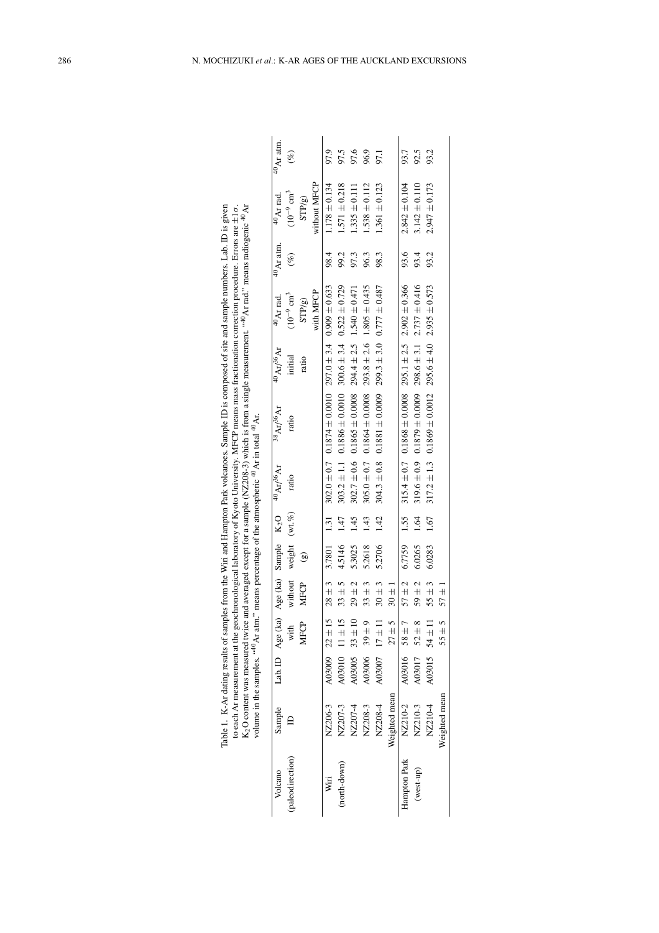|                 |               |                   |                                                   |            |               |      | volume in the samples. "40 Ar atm." means percentage of the atmospheric $^{40}$ Ar in total $^{40}$ Ar. |                                                                       |                              |                                   |                        |                         |                        |
|-----------------|---------------|-------------------|---------------------------------------------------|------------|---------------|------|---------------------------------------------------------------------------------------------------------|-----------------------------------------------------------------------|------------------------------|-----------------------------------|------------------------|-------------------------|------------------------|
| Volcano         | Sample        |                   | Lab. ID Age (ka) Age (ka) Sample K <sub>2</sub> O |            |               |      | $^{40}\text{Ar}^{36}\text{Ar}$                                                                          | $^{38}Ar/^{36}Ar$                                                     | $^{40}$ Ar/ <sup>36</sup> Ar | $^{40}$ Ar rad                    | $^{40}\mathrm{Ar}$ atm | $40$ Ar rad             | $^{40}\mathrm{Ar}$ atm |
| paleodirection) |               |                   | with                                              | without    | weight (wt.%) |      | ratio                                                                                                   | ratio                                                                 | initial                      | $(10^{-9}$ $\rm cm^3$             | $(\%)$                 | $(10^{-9} \text{ cm}^3$ | $(\%)$                 |
|                 |               |                   | MFCP                                              | MFCP       | ଭ             |      |                                                                                                         |                                                                       | ratio                        | STP/g                             |                        | STP/g                   |                        |
|                 |               |                   |                                                   |            |               |      |                                                                                                         |                                                                       |                              | with MFCP                         |                        | without MFCP            |                        |
| Wiri            | NZ206-3       | A03009 $22 \pm 1$ | S                                                 | $28 \pm 3$ | 3.7801        | 1.31 |                                                                                                         | $302.0 \pm 0.7$ $0.1874 \pm 0.0010$ $297.0 \pm 3.4$ $0.699 \pm 0.633$ |                              |                                   | 98.4                   | $1.178 \pm 0.134$       | 97.9                   |
| (north-down)    | NZ207-3       | A03010            | 5<br>$11 \pm 1$                                   | $33 \pm 5$ | 4.5146        | 1.47 |                                                                                                         | $303.2 \pm 1.1$ 0.1886 $\pm$ 0.0010 300.6 $\pm$ 3.4 0.522 $\pm$ 0.729 |                              |                                   | 99.2                   | $1.571 \pm 0.218$       | 97.5                   |
|                 | NZ207-4       | A03005            | $\supseteq$<br>$33 \pm$                           | $29 \pm 2$ | 5.3025        | 145  | $302.7 \pm 0.6$                                                                                         | $0.1865 \pm 0.0008$                                                   |                              | $294.4 \pm 2.5$ 1.540 $\pm$ 0.471 | 97.3                   | $1.335 \pm 0.111$       | 97.6                   |
|                 | NZ208-3       | A03006            | $39 \pm 9$                                        | $33 \pm 3$ | 5.2618        | 1.43 |                                                                                                         | $305.0 \pm 0.7$ 0.1864 $\pm$ 0.0008                                   |                              | $293.8 \pm 2.6$ 1.805 $\pm$ 0.435 | 96.3                   | $1.538 \pm 0.112$       | 96.9                   |
|                 | NZ208-4       |                   | A03007 $17 \pm 1$                                 | $30 \pm 3$ | 5.2706        | 1.42 | $304.3 \pm 0.8$                                                                                         | $0.1881 \pm 0.0009$                                                   |                              | $299.3 \pm 3.0$ 0.777 $\pm$ 0.487 | 98.3                   | $1.361 \pm 0.123$       | 97.1                   |
|                 | Weighted mean |                   | $27 \pm 5$                                        | $30 \pm 1$ |               |      |                                                                                                         |                                                                       |                              |                                   |                        |                         |                        |
| Hampton Park    | NZ210-2       |                   | A03016 58 $\pm$ 7                                 | $57 \pm 2$ | 6.7759        | 1.55 |                                                                                                         | $315.4 \pm 0.7$ 0.1868 $\pm$ 0.0008 295.1 $\pm$ 2.5 2.902 $\pm$ 0.366 |                              |                                   | 93.6                   | $2.842 \pm 0.104$       | 93.7                   |
| $(west-up)$     | NZ210-3       | A03017            | $52 \pm 8$                                        | $59 \pm 2$ | 6.0265        | 1.64 | $319.6 \pm 0.9$                                                                                         | $0.1879 \pm 0.0009$                                                   |                              | $298.6 \pm 3.1$ $2.737 \pm 0.416$ | 93.4                   | $3.142 \pm 0.110$       | 92.5                   |
|                 | NZ210-4       |                   | A03015 $54 \pm 1$                                 | $55 \pm 3$ | 6.0283        | 1.67 |                                                                                                         | $317.2 \pm 1.3$ 0.1869 $\pm$ 0.0012 295.6 $\pm$ 4.0 2.935 $\pm$ 0.573 |                              |                                   | 93.2                   | $2.947 \pm 0.173$       | 93.2                   |
|                 | Weighted mean |                   | $55 \pm 5$                                        | $57 \pm$   |               |      |                                                                                                         |                                                                       |                              |                                   |                        |                         |                        |

| Table 1. K-Ar dating results of samples from the Wiri and Hampton Park volcances. Sample ID is composed of site and sample numbers. Lab. ID is given | to each Ar measurement at the geochronological laboratory of Kyoto University. MFCP means mass fractionation correction procedure. Errors are ±1 $\sigma$ . | O content was measured twice and averaged except for a sample (NZ208-3) which is from a single measurement. " <sup>40</sup> Ar rad." means radiogenic <sup>40</sup> Ar |                                                                                                |
|------------------------------------------------------------------------------------------------------------------------------------------------------|-------------------------------------------------------------------------------------------------------------------------------------------------------------|------------------------------------------------------------------------------------------------------------------------------------------------------------------------|------------------------------------------------------------------------------------------------|
|                                                                                                                                                      |                                                                                                                                                             |                                                                                                                                                                        | volume in the samples. "4" Ar atm." means percentage of the atmospheric " Ar in total " $A$ r. |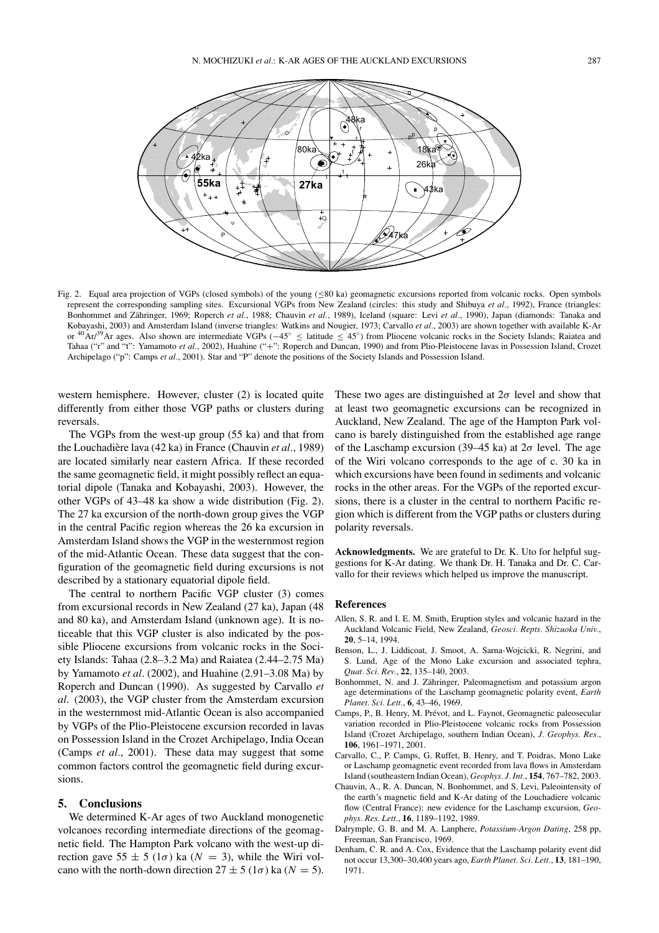



Fig. 2. Equal area projection of VGPs (closed symbols) of the young (≤80 ka) geomagnetic excursions reported from volcanic rocks. Open symbols represent the corresponding sampling sites. Excursional VGPs from New Zealand (circles: this study and Shibuya *et al.*, 1992), France (triangles: Bonhommet and Zähringer, 1969; Roperch et al., 1988; Chauvin et al., 1989), Iceland (square: Levi et al., 1990), Japan (diamonds: Tanaka and Kobayashi, 2003) and Amsterdam Island (inverse triangles: Watkins and Nougier, 1973; Carvallo *et al.*, 2003) are shown together with available K-Ar or <sup>40</sup>Ar/<sup>39</sup>Ar ages. Also shown are intermediate VGPs (−45<sup>°</sup> ≤ latitude ≤ 45<sup>°</sup>) from Pliocene volcanic rocks in the Society Islands; Raiatea and Tahaa ("r" and "t": Yamamoto *et al.*, 2002), Huahine ("+": Roperch and Duncan, 1990) and from Plio-Pleistocene lavas in Possession Island, Crozet Archipelago ("p": Camps *et al.*, 2001). Star and "P" denote the positions of the Society Islands and Possession Island.

western hemisphere. However, cluster (2) is located quite differently from either those VGP paths or clusters during reversals.

The VGPs from the west-up group (55 ka) and that from the Louchadière lava (42 ka) in France (Chauvin et al., 1989) are located similarly near eastern Africa. If these recorded the same geomagnetic field, it might possibly reflect an equatorial dipole (Tanaka and Kobayashi, 2003). However, the other VGPs of 43–48 ka show a wide distribution (Fig. 2). The 27 ka excursion of the north-down group gives the VGP in the central Pacific region whereas the 26 ka excursion in Amsterdam Island shows the VGP in the westernmost region of the mid-Atlantic Ocean. These data suggest that the configuration of the geomagnetic field during excursions is not described by a stationary equatorial dipole field.

The central to northern Pacific VGP cluster (3) comes from excursional records in New Zealand (27 ka), Japan (48 and 80 ka), and Amsterdam Island (unknown age). It is noticeable that this VGP cluster is also indicated by the possible Pliocene excursions from volcanic rocks in the Society Islands: Tahaa (2.8–3.2 Ma) and Raiatea (2.44–2.75 Ma) by Yamamoto *et al*. (2002), and Huahine (2.91–3.08 Ma) by Roperch and Duncan (1990). As suggested by Carvallo *et al*. (2003), the VGP cluster from the Amsterdam excursion in the westernmost mid-Atlantic Ocean is also accompanied by VGPs of the Plio-Pleistocene excursion recorded in lavas on Possession Island in the Crozet Archipelago, India Ocean (Camps *et al.*, 2001). These data may suggest that some common factors control the geomagnetic field during excursions.

# **5. Conclusions**

We determined K-Ar ages of two Auckland monogenetic volcanoes recording intermediate directions of the geomagnetic field. The Hampton Park volcano with the west-up direction gave  $55 \pm 5$  ( $1\sigma$ ) ka ( $N = 3$ ), while the Wiri volcano with the north-down direction  $27 \pm 5$  ( $1\sigma$ ) ka ( $N = 5$ ). These two ages are distinguished at  $2\sigma$  level and show that at least two geomagnetic excursions can be recognized in Auckland, New Zealand. The age of the Hampton Park volcano is barely distinguished from the established age range of the Laschamp excursion (39–45 ka) at  $2\sigma$  level. The age of the Wiri volcano corresponds to the age of c. 30 ka in which excursions have been found in sediments and volcanic rocks in the other areas. For the VGPs of the reported excursions, there is a cluster in the central to northern Pacific region which is different from the VGP paths or clusters during polarity reversals.

**Acknowledgments.** We are grateful to Dr. K. Uto for helpful suggestions for K-Ar dating. We thank Dr. H. Tanaka and Dr. C. Carvallo for their reviews which helped us improve the manuscript.

## **References**

- Allen, S. R. and I. E. M. Smith, Eruption styles and volcanic hazard in the Auckland Volcanic Field, New Zealand, *Geosci. Repts. Shizuoka Univ.*, **20**, 5–14, 1994.
- Benson, L., J. Liddicoat, J. Smoot, A. Sarna-Wojcicki, R. Negrini, and S. Lund, Age of the Mono Lake excursion and associated tephra, *Quat. Sci. Rev.*, **22**, 135–140, 2003.
- Bonhommet, N. and J. Zähringer, Paleomagnetism and potassium argon age determinations of the Laschamp geomagnetic polarity event, *Earth Planet. Sci. Lett.*, **6**, 43–46, 1969.
- Camps, P., B. Henry, M. Prévot, and L. Faynot, Geomagnetic paleosecular variation recorded in Plio-Pleistocene volcanic rocks from Possession Island (Crozet Archipelago, southern Indian Ocean), *J. Geophys. Res.*, **106**, 1961–1971, 2001.
- Carvallo, C., P. Camps, G. Ruffet, B. Henry, and T. Poidras, Mono Lake or Laschamp geomagnetic event recorded from lava flows in Amsterdam Island (southeastern Indian Ocean), *Geophys. J. Int.*, **154**, 767–782, 2003.
- Chauvin, A., R. A. Duncan, N. Bonhommet, and S. Levi, Paleointensity of the earth's magnetic field and K-Ar dating of the Louchadiere volcanic flow (Central France): new evidence for the Laschamp excursion, *Geophys. Res. Lett.*, **16**, 1189–1192, 1989.
- Dalrymple, G. B. and M. A. Lanphere, *Potassium-Argon Dating*, 258 pp, Freeman, San Francisco, 1969.
- Denham, C. R. and A. Cox, Evidence that the Laschamp polarity event did not occur 13,300–30,400 years ago, *Earth Planet. Sci. Lett.*, **13**, 181–190, 1971.